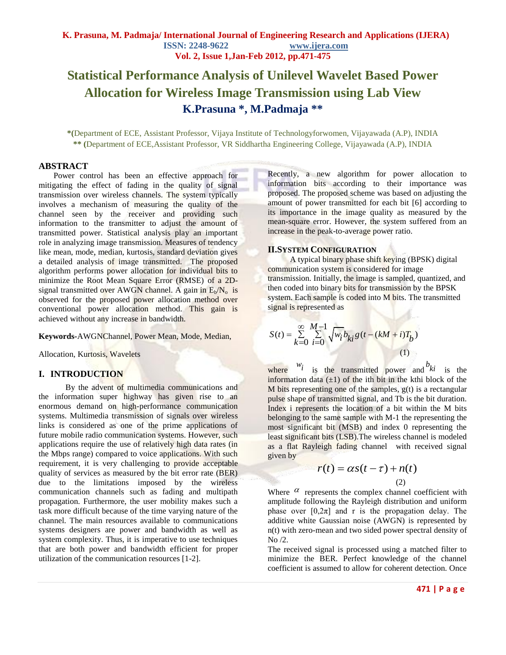# **Statistical Performance Analysis of Unilevel Wavelet Based Power Allocation for Wireless Image Transmission using Lab View K.Prasuna \*, M.Padmaja \*\***

**\*(**Department of ECE, Assistant Professor, Vijaya Institute of Technologyforwomen, Vijayawada (A.P), INDIA **\*\* (**Department of ECE,Assistant Professor, VR Siddhartha Engineering College, Vijayawada (A.P), INDIA

#### **ABSTRACT**

Power control has been an effective approach for mitigating the effect of fading in the quality of signal transmission over wireless channels. The system typically involves a mechanism of measuring the quality of the channel seen by the receiver and providing such information to the transmitter to adjust the amount of transmitted power. Statistical analysis play an important role in analyzing image transmission. Measures of tendency like mean, mode, median, kurtosis, standard deviation gives a detailed analysis of image transmitted. The proposed algorithm performs power allocation for individual bits to minimize the Root Mean Square Error (RMSE) of a 2Dsignal transmitted over AWGN channel. A gain in  $E_b/N_o$  is observed for the proposed power allocation method over conventional power allocation method. This gain is achieved without any increase in bandwidth.

**Keywords-**AWGNChannel, Power Mean, Mode, Median,

Allocation, Kurtosis, Wavelets

## **I. INTRODUCTION**

By the advent of multimedia communications and the information super highway has given rise to an enormous demand on high-performance communication systems. Multimedia transmission of signals over wireless links is considered as one of the prime applications of future mobile radio communication systems. However, such applications require the use of relatively high data rates (in the Mbps range) compared to voice applications. With such requirement, it is very challenging to provide acceptable quality of services as measured by the bit error rate (BER) due to the limitations imposed by the wireless communication channels such as fading and multipath propagation. Furthermore, the user mobility makes such a task more difficult because of the time varying nature of the channel. The main resources available to communications systems designers are power and bandwidth as well as system complexity. Thus, it is imperative to use techniques that are both power and bandwidth efficient for proper utilization of the communication resources [1-2].

Recently, a new algorithm for power allocation to information bits according to their importance was proposed. The proposed scheme was based on adjusting the amount of power transmitted for each bit [6] according to its importance in the image quality as measured by the mean-square error. However, the system suffered from an increase in the peak-to-average power ratio.

#### **II.SYSTEM CONFIGURATION**

A typical binary phase shift keying (BPSK) digital communication system is considered for image transmission. Initially, the image is sampled, quantized, and then coded into binary bits for transmission by the BPSK system. Each sample is coded into M bits. The transmitted signal is represented as

$$
S(t) = \sum_{k=0}^{\infty} \sum_{i=0}^{M-1} \sqrt{w_i b_{ki} g(t - (kM + i)T_b)}
$$
(1)

where  $w_i$  is the transmitted power and  $b_{ki}$  is the information data  $(\pm 1)$  of the ith bit in the kthi block of the  $M$  bits representing one of the samples,  $g(t)$  is a rectangular pulse shape of transmitted signal, and Tb is the bit duration. Index i represents the location of a bit within the M bits belonging to the same sample with M-1 the representing the most significant bit (MSB) and index 0 representing the least significant bits (LSB).The wireless channel is modeled as a flat Rayleigh fading channel with received signal given by

$$
r(t) = \alpha s(t - \tau) + n(t)
$$
\n(2)

Where  $\alpha$  represents the complex channel coefficient with amplitude following the Rayleigh distribution and uniform phase over  $[0,2\pi]$  and r is the propagation delay. The additive white Gaussian noise (AWGN) is represented by n(t) with zero-mean and two sided power spectral density of No /2.

The received signal is processed using a matched filter to minimize the BER. Perfect knowledge of the channel coefficient is assumed to allow for coherent detection. Once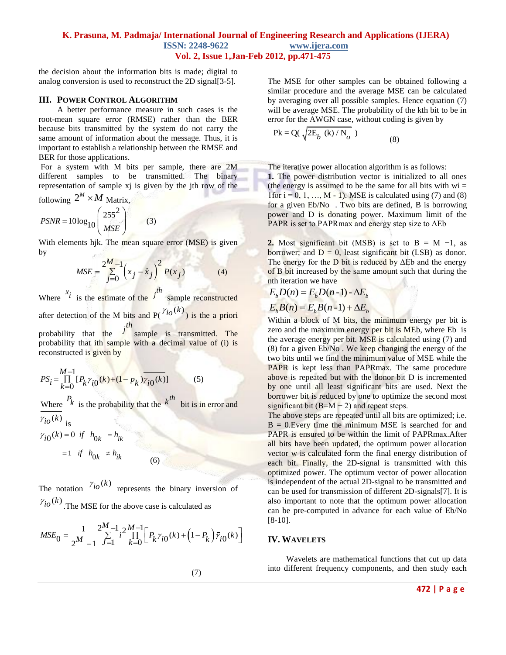the decision about the information bits is made; digital to analog conversion is used to reconstruct the 2D signal[3-5].

#### **III. POWER CONTROL ALGORITHM**

A better performance measure in such cases is the root-mean square error (RMSE) rather than the BER because bits transmitted by the system do not carry the same amount of information about the message. Thus, it is important to establish a relationship between the RMSE and BER for those applications.

For a system with M bits per sample, there are 2M different samples to be transmitted. The binary representation of sample xj is given by the jth row of the *M*

following 
$$
2^M \times M
$$
 Matrix,

$$
PSNR = 10\log_{10}\left(\frac{255^2}{MSE}\right) \tag{3}
$$

With elements hik. The mean square error (MSE) is given by

$$
MSE = \frac{2^{M} - 1}{\sum_{j=0}^{M} (x_j - \hat{x}_j)^2} P(x_j)
$$
 (4)

Where  $x_i$  is the estimate of the  $j^{th}$  sample reconstructed after detection of the M bits and  $P(\binom{\gamma_{i0}(k)}{k})$  is the a priori probability that the *j<sup>th</sup>* sample is transmitted. The

probability that ith sample with a decimal value of (i) is reconstructed is given by

$$
PS_{i} = \prod_{k=0}^{M-1} [P_{k} \gamma_{i0}(k) + (1 - p_{k}) \gamma_{i0}(k)] \tag{5}
$$

Where  $\frac{P_k}{P_k}$  is the probability that the **bit is in error and**  $\gamma_{io}(k)$ <sub>is</sub>

 $\gamma_{i0}(k) = 0$  if  $h_{0k} = h_{ik}$  $= 1$  *if*  $h_{0k} \neq h_{ik}$ (6)

The notation  $\gamma_{io}(k)$ represents the binary inversion of  $\gamma_{io}(k)$ . The MSE for the above case is calculated as

$$
MSE_0 = \frac{1}{2^M - 1} \sum_{j=1}^{2^M - 1} i^2 \prod_{k=0}^{M-1} \left[ P_k \gamma_{i0}(k) + \left( 1 - P_k \right) \overline{\gamma}_{i0}(k) \right]
$$

The MSE for other samples can be obtained following a similar procedure and the average MSE can be calculated by averaging over all possible samples. Hence equation (7) will be average MSE. The probability of the kth bit to be in error for the AWGN case, without coding is given by

$$
Pk = Q(\sqrt{2E_b (k) / N_o})
$$
\n(8)

The iterative power allocation algorithm is as follows: **1.** The power distribution vector is initialized to all ones (the energy is assumed to be the same for all bits with  $wi =$ 1 for  $i = 0, 1, ..., M - 1$ . MSE is calculated using (7) and (8) for a given Eb/No . Two bits are defined, B is borrowing power and D is donating power. Maximum limit of the PAPR is set to PAPRmax and energy step size to ΔEb

**2.** Most significant bit (MSB) is set to  $B = M -1$ , as borrower; and  $D = 0$ , least significant bit (LSB) as donor. The energy for the D bit is reduced by  $\Delta$ Eb and the energy of B bit increased by the same amount such that during the nth iteration we have

$$
E_b D(n) = E_b D(n-1) - \Delta E_b
$$

$$
E_b D(n) = E_b D(n-1) - \Delta E_b
$$
  

$$
E_b B(n) = E_b B(n-1) + \Delta E_b
$$

Within a block of M bits, the minimum energy per bit is zero and the maximum energy per bit is MEb, where Eb is the average energy per bit. MSE is calculated using (7) and (8) for a given Eb/No . We keep changing the energy of the two bits until we find the minimum value of MSE while the PAPR is kept less than PAPRmax. The same procedure above is repeated but with the donor bit D is incremented by one until all least significant bits are used. Next the borrower bit is reduced by one to optimize the second most significant bit  $(B=M-2)$  and repeat steps.

The above steps are repeated until all bits are optimized; i.e.  $B = 0$ . Every time the minimum MSE is searched for and PAPR is ensured to be within the limit of PAPRmax.After all bits have been updated, the optimum power allocation vector w is calculated form the final energy distribution of each bit. Finally, the 2D-signal is transmitted with this optimized power. The optimum vector of power allocation is independent of the actual 2D-signal to be transmitted and can be used for transmission of different 2D-signals[7]. It is also important to note that the optimum power allocation can be pre-computed in advance for each value of Eb/No [8-10].

#### **IV. WAVELETS**

Wavelets are mathematical functions that cut up data into different frequency components, and then study each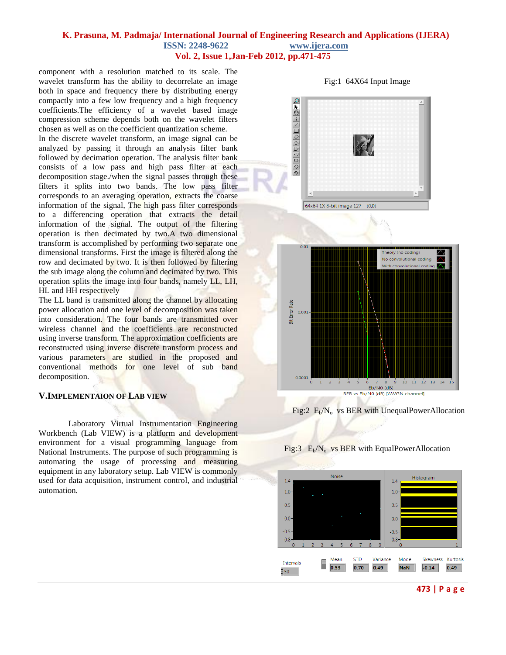component with a resolution matched to its scale. The wavelet transform has the ability to decorrelate an image both in space and frequency there by distributing energy compactly into a few low frequency and a high frequency coefficients.The efficiency of a wavelet based image compression scheme depends both on the wavelet filters chosen as well as on the coefficient quantization scheme.

In the discrete wavelet transform, an image signal can be analyzed by passing it through an analysis filter bank followed by decimation operation. The analysis filter bank consists of a low pass and high pass filter at each decomposition stage./when the signal passes through these filters it splits into two bands. The low pass filter corresponds to an averaging operation, extracts the coarse information of the signal, The high pass filter corresponds to a differencing operation that extracts the detail information of the signal. The output of the filtering operation is then decimated by two.A two dimensional transform is accomplished by performing two separate one dimensional transforms. First the image is filtered along the row and decimated by two. It is then followed by filtering the sub image along the column and decimated by two. This operation splits the image into four bands, namely LL, LH, HL and HH respectively

The LL band is transmitted along the channel by allocating power allocation and one level of decomposition was taken into consideration. The four bands are transmitted over wireless channel and the coefficients are reconstructed using inverse transform. The approximation coefficients are reconstructed using inverse discrete transform process and various parameters are studied in the proposed and conventional methods for one level of sub band decomposition.

### **V.IMPLEMENTAION OF LAB VIEW**

Laboratory Virtual Instrumentation Engineering Workbench (Lab VIEW) is a platform and development environment for a visual programming language from National Instruments. The purpose of such programming is automating the usage of processing and measuring equipment in any laboratory setup. Lab VIEW is commonly used for data acquisition, instrument control, and industrial automation.



Fig:1 64X64 Input Image



Fig:2  $E_b/N_o$  vs BER with UnequalPowerAllocation



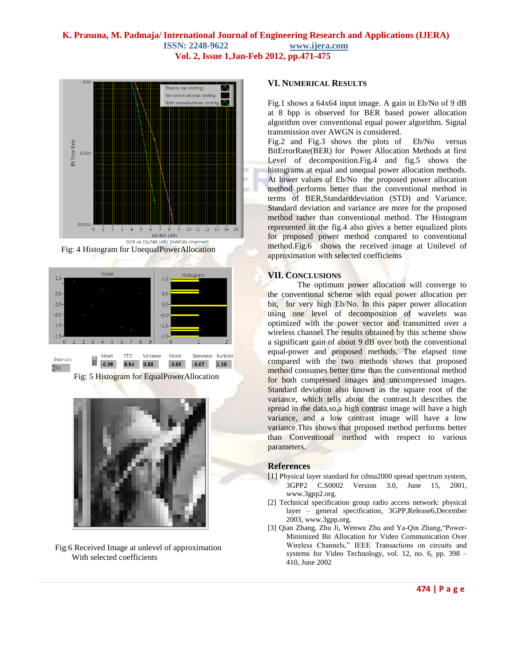







Fig:6 Received Image at unlevel of approximation With selected coefficients

#### **VI. NUMERICAL RESULTS**

Fig.1 shows a 64x64 input image. A gain in Eb/No of 9 dB at 8 bpp is observed for BER based power allocation algorithm over conventional equal power algorithm. Signal transmission over AWGN is considered.

Fig.2 and Fig.3 shows the plots of Eb/No versus BitErrorRate(BER) for Power Allocation Methods at first Level of decomposition.Fig.4 and fig.5 shows the histograms at equal and unequal power allocation methods. At lower values of Eb/No the proposed power allocation method performs better than the conventional method in terms of BER,Standarddeviation (STD) and Variance. Standard deviation and variance are more for the proposed method rather than conventional method. The Histogram represented in the fig.4 also gives a better equalized plots for proposed power method compared to conventional method.Fig.6 shows the received image at Unilevel of approximation with selected coefficients

# **VII. CONCLUSIONS**

The optimum power allocation will converge to the conventional scheme with equal power allocation per bit, for very high Eb/No. In this paper power allocation using one level of decomposition of wavelets was optimized with the power vector and transmitted over a wireless channel The results obtained by this scheme show a significant gain of about 9 dB over both the conventional equal-power and proposed methods. The elapsed time compared with the two methods shows that proposed method consumes better time than the conventional method for both compressed images and uncompressed images. Standard deviation also known as the square root of the variance, which tells about the contrast.It describes the spread in the data,so,a high contrast image will have a high variance, and a low contrast image will have a low variance.This shows that proposed method performs better than Conventional method with respect to various parameters.

#### **References**

- [1] Physical layer standard for cdma2000 spread spectrum system, 3GPP2 C.S0002 Version 3.0, June 15, 2001, www.3gpp2.org.
- [2] Technical specification group radio access network: physical layer – general specification, 3GPP,Release6,December 2003, www.3gpp.org.
- [3] Qian Zhang, Zhu Ji, Wenwu Zhu and Ya-Qin Zhang,"Power-Minimized Bit Allocation for Video Communication Over Wireless Channels," IEEE Transactions on circuits and systems for Video Technology, vol. 12, no. 6, pp. 398 – 410, June 2002